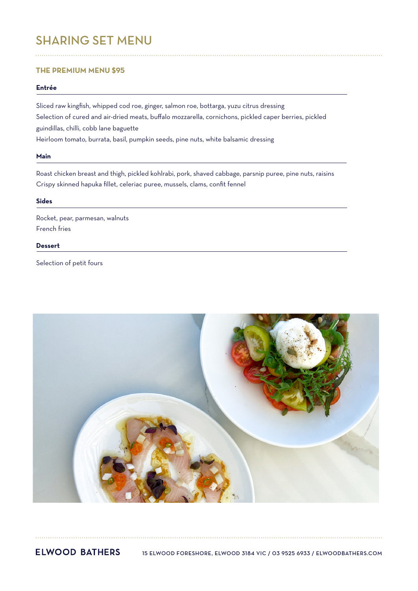# SHARING SET MENU

# **THE PREMIUM MENU \$95**

# **Entrée**

Sliced raw kingfish, whipped cod roe, ginger, salmon roe, bottarga, yuzu citrus dressing Selection of cured and air-dried meats, buffalo mozzarella, cornichons, pickled caper berries, pickled guindillas, chilli, cobb lane baguette Heirloom tomato, burrata, basil, pumpkin seeds, pine nuts, white balsamic dressing

#### **Main**

Roast chicken breast and thigh, pickled kohlrabi, pork, shaved cabbage, parsnip puree, pine nuts, raisins Crispy skinned hapuka fillet, celeriac puree, mussels, clams, confit fennel

## **Sides**

Rocket, pear, parmesan, walnuts French fries

# **Dessert**

Selection of petit fours



**ELWOOD BATHERS** 15 ELWOOD FORESHORE, ELWOOD 3184 VIC / 03 9525 6933 / ELWOODBATHERS.COM